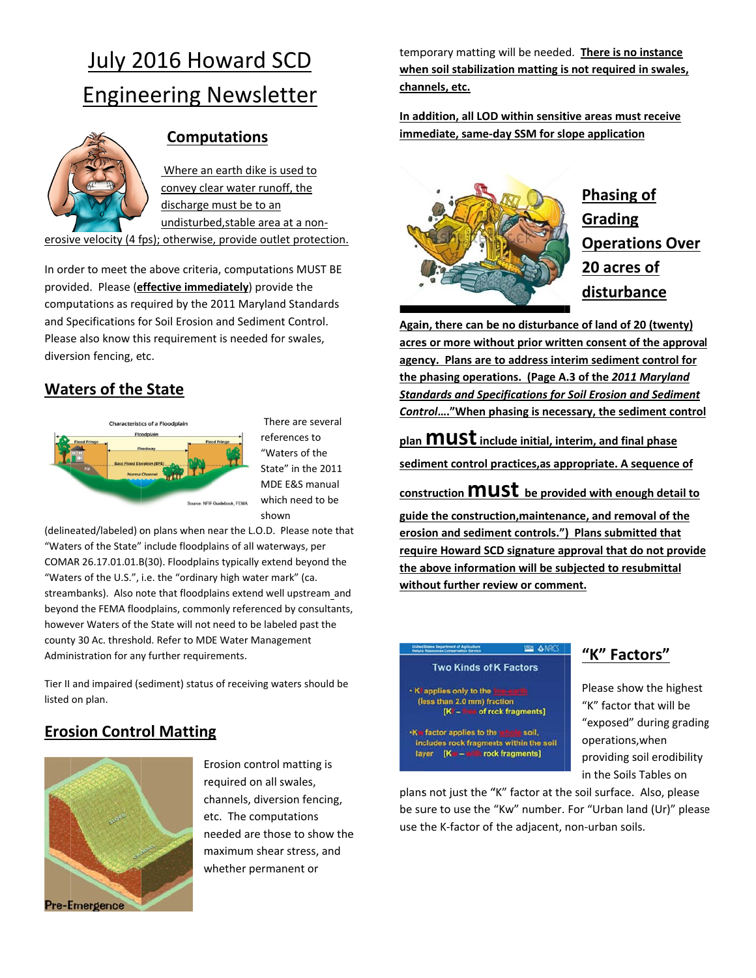# **July 2016 Howard SCD Engineering Newsletter**



### **Computations**

Where an earth dike is used to convey clear water runoff, the discharge must be to an undisturbed, stable area at a nonerosive velocity (4 fps); otherwise, provide outlet protection.

In order to meet the above criteria, computations MUST BE provided. Please (effective immediately) provide the computations as required by the 2011 Maryland Standards and Specifications for Soil Erosion and Sediment Control. Please also know this requirement is needed for swales, diversion fencing, etc.

### **Waters of the State**



There are several references to "Waters of the State" in the 2011 MDE E&S manual which need to be shown

(delineated/labeled) on plans when near the L.O.D. Please note that "Waters of the State" include floodplains of all waterways, per COMAR 26.17.01.01.B(30). Floodplains typically extend beyond the "Waters of the U.S.", i.e. the "ordinary high water mark" (ca. streambanks). Also note that floodplains extend well upstream and beyond the FEMA floodplains, commonly referenced by consultants, however Waters of the State will not need to be labeled past the county 30 Ac. threshold. Refer to MDE Water Management Administration for any further requirements.

Tier II and impaired (sediment) status of receiving waters should be listed on plan.

# **Erosion Control Matting**



Erosion control matting is required on all swales, channels, diversion fencing, etc. The computations needed are those to show the maximum shear stress, and whether permanent or

temporary matting will be needed. There is no instance when soil stabilization matting is not required in swales, channels, etc.

In addition, all LOD within sensitive areas must receive immediate, same-day SSM for slope application



**Phasing of Grading Operations Over** 20 acres of disturbance

Again, there can be no disturbance of land of 20 (twenty) acres or more without prior written consent of the approval agency. Plans are to address interim sediment control for the phasing operations. (Page A.3 of the 2011 Maryland **Standards and Specifications for Soil Erosion and Sediment** Control...."When phasing is necessary, the sediment control

plan  $\text{must}$  include initial, interim, and final phase sediment control practices, as appropriate. A sequence of

### construction **MUST** be provided with enough detail to

guide the construction, maintenance, and removal of the erosion and sediment controls.") Plans submitted that require Howard SCD signature approval that do not provide the above information will be subjected to resubmittal without further review or comment.

#### **1994 & NRCS Two Kinds of K Factors**

. Klapplies only to the (less than 2.0 mm) fraction [K<sup>#</sup> – **free of rock fragments]** 

Ke factor applies to the **mitals** soil,<br>includes rock fragments within the soil layer [K= - - Frock fragments]

# "K" Factors"

Please show the highest "K" factor that will be "exposed" during grading operations, when providing soil erodibility in the Soils Tables on

plans not just the "K" factor at the soil surface. Also, please be sure to use the "Kw" number. For "Urban land (Ur)" please use the K-factor of the adjacent, non-urban soils.